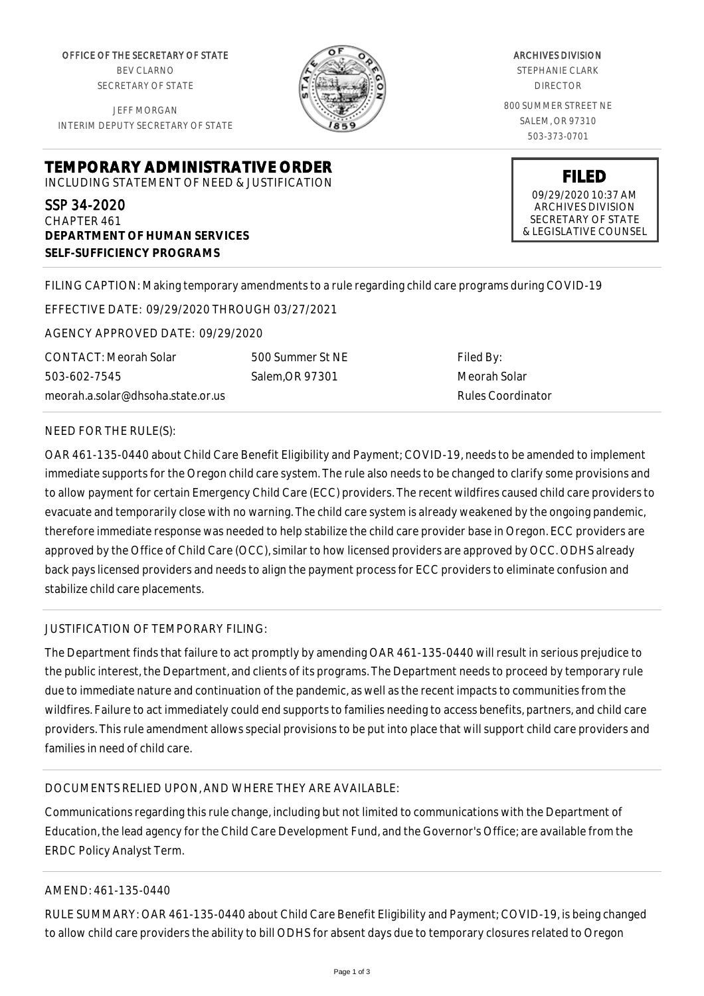OFFICE OF THE SECRETARY OF STATE BEV CLARNO SECRETARY OF STATE

JEFF MORGAN INTERIM DEPUTY SECRETARY OF STATE



ARCHIVES DIVISION STEPHANIE CLARK DIRECTOR 800 SUMMER STREET NE SALEM, OR 97310 503-373-0701

**TEMPORARY ADMINISTRATIVE ORDER**

INCLUDING STATEMENT OF NEED & JUSTIFICATION

SSP 34-2020 CHAPTER 461 **DEPARTMENT OF HUMAN SERVICES SELF-SUFFICIENCY PROGRAMS**

**FILED** 09/29/2020 10:37 AM ARCHIVES DIVISION SECRETARY OF STATE

& LEGISLATIVE COUNSEL

FILING CAPTION: Making temporary amendments to a rule regarding child care programs during COVID-19

EFFECTIVE DATE: 09/29/2020 THROUGH 03/27/2021

AGENCY APPROVED DATE: 09/29/2020

CONTACT: Meorah Solar 503-602-7545 meorah.a.solar@dhsoha.state.or.us 500 Summer St NE Salem,OR 97301

Filed By: Meorah Solar Rules Coordinator

## NEED FOR THE RULE(S):

OAR 461-135-0440 about Child Care Benefit Eligibility and Payment; COVID-19, needs to be amended to implement immediate supports for the Oregon child care system. The rule also needs to be changed to clarify some provisions and to allow payment for certain Emergency Child Care (ECC) providers. The recent wildfires caused child care providers to evacuate and temporarily close with no warning. The child care system is already weakened by the ongoing pandemic, therefore immediate response was needed to help stabilize the child care provider base in Oregon. ECC providers are approved by the Office of Child Care (OCC), similar to how licensed providers are approved by OCC. ODHS already back pays licensed providers and needs to align the payment process for ECC providers to eliminate confusion and stabilize child care placements.

## JUSTIFICATION OF TEMPORARY FILING:

The Department finds that failure to act promptly by amending OAR 461-135-0440 will result in serious prejudice to the public interest, the Department, and clients of its programs. The Department needs to proceed by temporary rule due to immediate nature and continuation of the pandemic, as well as the recent impacts to communities from the wildfires. Failure to act immediately could end supports to families needing to access benefits, partners, and child care providers. This rule amendment allows special provisions to be put into place that will support child care providers and families in need of child care.

## DOCUMENTS RELIED UPON, AND WHERE THEY ARE AVAILABLE:

Communications regarding this rule change, including but not limited to communications with the Department of Education, the lead agency for the Child Care Development Fund, and the Governor's Office; are available from the ERDC Policy Analyst Term.

## AMEND: 461-135-0440

RULE SUMMARY: OAR 461-135-0440 about Child Care Benefit Eligibility and Payment; COVID-19, is being changed to allow child care providers the ability to bill ODHS for absent days due to temporary closures related to Oregon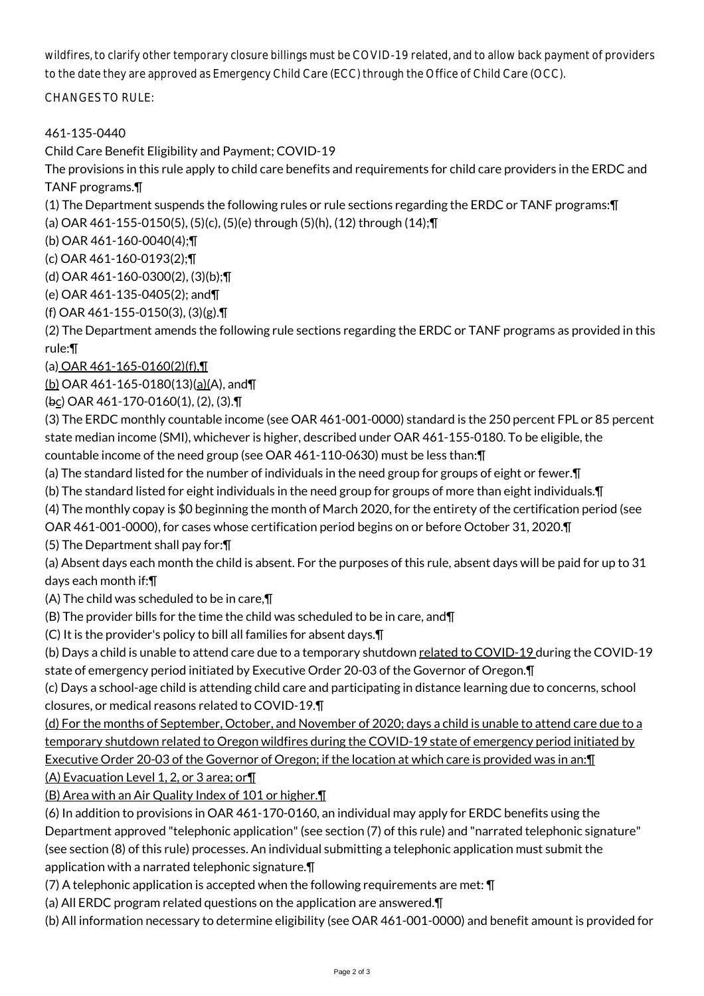wildfires, to clarify other temporary closure billings must be COVID-19 related, and to allow back payment of providers to the date they are approved as Emergency Child Care (ECC) through the Office of Child Care (OCC).

CHANGES TO RULE:

461-135-0440

Child Care Benefit Eligibility and Payment; COVID-19

The provisions in this rule apply to child care benefits and requirements for child care providers in the ERDC and TANF programs.¶

(1) The Department suspends the following rules or rule sections regarding the ERDC or TANF programs:¶

(a) OAR 461-155-0150(5), (5)(c), (5)(e) through (5)(h), (12) through (14);¶

(b) OAR 461-160-0040(4);¶

(c) OAR 461-160-0193(2);¶

(d) OAR 461-160-0300(2), (3)(b);¶

(e) OAR 461-135-0405(2); and¶

(f) OAR 461-155-0150(3), (3)(g).¶

(2) The Department amends the following rule sections regarding the ERDC or TANF programs as provided in this rule:¶

(a) OAR  $461 - 165 - 0160(2)(f)$ ,  $\P$ 

(b) OAR 461-165-0180(13)(a)(A), and¶

(bc) OAR 461-170-0160(1), (2), (3).¶

(3) The ERDC monthly countable income (see OAR 461-001-0000) standard is the 250 percent FPL or 85 percent state median income (SMI), whichever is higher, described under OAR 461-155-0180. To be eligible, the countable income of the need group (see OAR 461-110-0630) must be less than:¶

(a) The standard listed for the number of individuals in the need group for groups of eight or fewer.¶

- (b) The standard listed for eight individuals in the need group for groups of more than eight individuals.¶
- (4) The monthly copay is \$0 beginning the month of March 2020, for the entirety of the certification period (see

OAR 461-001-0000), for cases whose certification period begins on or before October 31, 2020.¶

(5) The Department shall pay for:¶

(a) Absent days each month the child is absent. For the purposes of this rule, absent days will be paid for up to 31 days each month if:¶

(A) The child was scheduled to be in care,¶

(B) The provider bills for the time the child was scheduled to be in care, and¶

(C) It is the provider's policy to bill all families for absent days.¶

(b) Days a child is unable to attend care due to a temporary shutdown related to COVID-19 during the COVID-19 state of emergency period initiated by Executive Order 20-03 of the Governor of Oregon.¶

(c) Days a school-age child is attending child care and participating in distance learning due to concerns, school closures, or medical reasons related to COVID-19.¶

(d) For the months of September, October, and November of 2020; days a child is unable to attend care due to a temporary shutdown related to Oregon wildfires during the COVID-19 state of emergency period initiated by Executive Order 20-03 of the Governor of Oregon; if the location at which care is provided was in an:¶

(A) Evacuation Level 1, 2, or 3 area; or¶

(B) Area with an Air Quality Index of 101 or higher.¶

(6) In addition to provisions in OAR 461-170-0160, an individual may apply for ERDC benefits using the Department approved "telephonic application" (see section (7) of this rule) and "narrated telephonic signature" (see section (8) of this rule) processes. An individual submitting a telephonic application must submit the application with a narrated telephonic signature.¶

(7) A telephonic application is accepted when the following requirements are met: ¶

(a) All ERDC program related questions on the application are answered.¶

(b) All information necessary to determine eligibility (see OAR 461-001-0000) and benefit amount is provided for